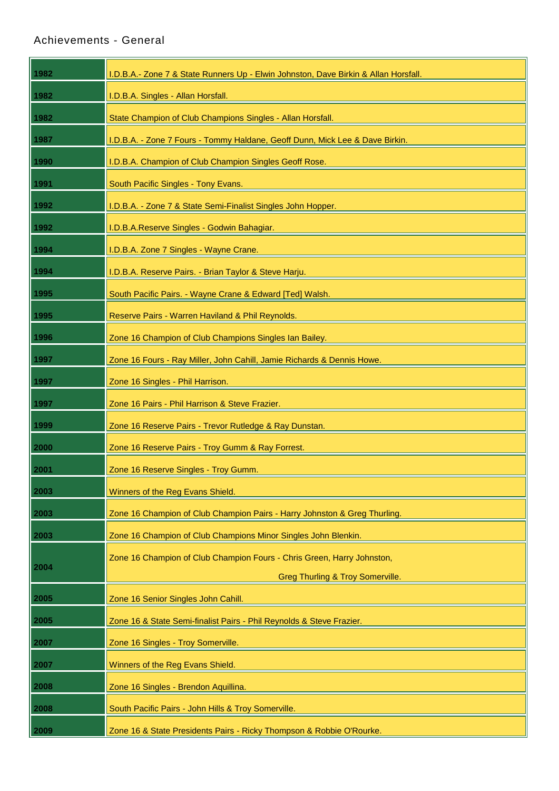## [Achievements -](http://daptocitizens.com.au/general.html) General

| 1982 | I.D.B.A.- Zone 7 & State Runners Up - Elwin Johnston, Dave Birkin & Allan Horsfall. |
|------|-------------------------------------------------------------------------------------|
| 1982 | I.D.B.A. Singles - Allan Horsfall.                                                  |
| 1982 | State Champion of Club Champions Singles - Allan Horsfall.                          |
| 1987 | I.D.B.A. - Zone 7 Fours - Tommy Haldane, Geoff Dunn, Mick Lee & Dave Birkin.        |
| 1990 | I.D.B.A. Champion of Club Champion Singles Geoff Rose.                              |
| 1991 | South Pacific Singles - Tony Evans.                                                 |
| 1992 | I.D.B.A. - Zone 7 & State Semi-Finalist Singles John Hopper.                        |
| 1992 | I.D.B.A.Reserve Singles - Godwin Bahagiar.                                          |
| 1994 | I.D.B.A. Zone 7 Singles - Wayne Crane.                                              |
| 1994 | I.D.B.A. Reserve Pairs. - Brian Taylor & Steve Harju.                               |
| 1995 | South Pacific Pairs. - Wayne Crane & Edward [Ted] Walsh.                            |
| 1995 | Reserve Pairs - Warren Haviland & Phil Reynolds.                                    |
| 1996 | Zone 16 Champion of Club Champions Singles Ian Bailey.                              |
| 1997 | Zone 16 Fours - Ray Miller, John Cahill, Jamie Richards & Dennis Howe.              |
| 1997 | Zone 16 Singles - Phil Harrison.                                                    |
| 1997 | Zone 16 Pairs - Phil Harrison & Steve Frazier.                                      |
| 1999 | Zone 16 Reserve Pairs - Trevor Rutledge & Ray Dunstan.                              |
| 2000 | Zone 16 Reserve Pairs - Troy Gumm & Ray Forrest.                                    |
| 2001 | Zone 16 Reserve Singles - Troy Gumm.                                                |
| 2003 | Winners of the Reg Evans Shield.                                                    |
| 2003 | Zone 16 Champion of Club Champion Pairs - Harry Johnston & Greg Thurling.           |
| 2003 | Zone 16 Champion of Club Champions Minor Singles John Blenkin.                      |
|      | Zone 16 Champion of Club Champion Fours - Chris Green, Harry Johnston,              |
| 2004 | <b>Greg Thurling &amp; Troy Somerville.</b>                                         |
| 2005 | Zone 16 Senior Singles John Cahill.                                                 |
| 2005 | Zone 16 & State Semi-finalist Pairs - Phil Reynolds & Steve Frazier.                |
| 2007 | Zone 16 Singles - Troy Somerville.                                                  |
| 2007 | Winners of the Reg Evans Shield.                                                    |
| 2008 | Zone 16 Singles - Brendon Aquillina.                                                |
| 2008 | South Pacific Pairs - John Hills & Troy Somerville.                                 |
| 2009 | Zone 16 & State Presidents Pairs - Ricky Thompson & Robbie O'Rourke.                |